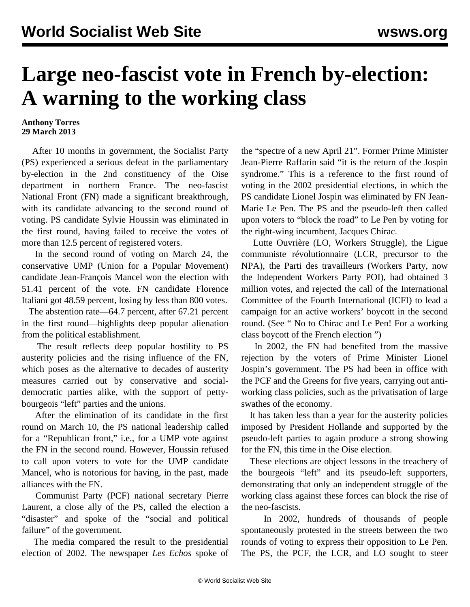## **Large neo-fascist vote in French by-election: A warning to the working class**

## **Anthony Torres 29 March 2013**

 After 10 months in government, the Socialist Party (PS) experienced a serious defeat in the parliamentary by-election in the 2nd constituency of the Oise department in northern France. The neo-fascist National Front (FN) made a significant breakthrough, with its candidate advancing to the second round of voting. PS candidate Sylvie Houssin was eliminated in the first round, having failed to receive the votes of more than 12.5 percent of registered voters.

 In the second round of voting on March 24, the conservative UMP (Union for a Popular Movement) candidate Jean-François Mancel won the election with 51.41 percent of the vote. FN candidate Florence Italiani got 48.59 percent, losing by less than 800 votes.

 The abstention rate—64.7 percent, after 67.21 percent in the first round—highlights deep popular alienation from the political establishment.

 The result reflects deep popular hostility to PS austerity policies and the rising influence of the FN, which poses as the alternative to decades of austerity measures carried out by conservative and socialdemocratic parties alike, with the support of pettybourgeois "left" parties and the unions.

 After the elimination of its candidate in the first round on March 10, the PS national leadership called for a "Republican front," i.e., for a UMP vote against the FN in the second round. However, Houssin refused to call upon voters to vote for the UMP candidate Mancel, who is notorious for having, in the past, made alliances with the FN.

 Communist Party (PCF) national secretary Pierre Laurent, a close ally of the PS, called the election a "disaster" and spoke of the "social and political failure" of the government.

 The media compared the result to the presidential election of 2002. The newspaper *Les Echos* spoke of the "spectre of a new April 21". Former Prime Minister Jean-Pierre Raffarin said "it is the return of the Jospin syndrome." This is a reference to the first round of voting in the 2002 presidential elections, in which the PS candidate Lionel Jospin was eliminated by FN Jean-Marie Le Pen. The PS and the pseudo-left then called upon voters to "block the road" to Le Pen by voting for the right-wing incumbent, Jacques Chirac.

 Lutte Ouvrière (LO, Workers Struggle), the Ligue communiste révolutionnaire (LCR, precursor to the NPA), the Parti des travailleurs (Workers Party, now the Independent Workers Party POI), had obtained 3 million votes, and rejected the call of the International Committee of the Fourth International (ICFI) to lead a campaign for an active workers' boycott in the second round. (See " [No to Chirac and Le Pen! For a working](/en/articles/2002/04/open-a29.html) [class boycott of the French election](/en/articles/2002/04/open-a29.html) ")

 In 2002, the FN had benefited from the massive rejection by the voters of Prime Minister Lionel Jospin's government. The PS had been in office with the PCF and the Greens for five years, carrying out antiworking class policies, such as the privatisation of large swathes of the economy.

 It has taken less than a year for the austerity policies imposed by President Hollande and supported by the pseudo-left parties to again produce a strong showing for the FN, this time in the Oise election.

 These elections are object lessons in the treachery of the bourgeois "left" and its pseudo-left supporters, demonstrating that only an independent struggle of the working class against these forces can block the rise of the neo-fascists.

 In 2002, hundreds of thousands of people spontaneously protested in the streets between the two rounds of voting to express their opposition to Le Pen. The PS, the PCF, the LCR, and LO sought to steer